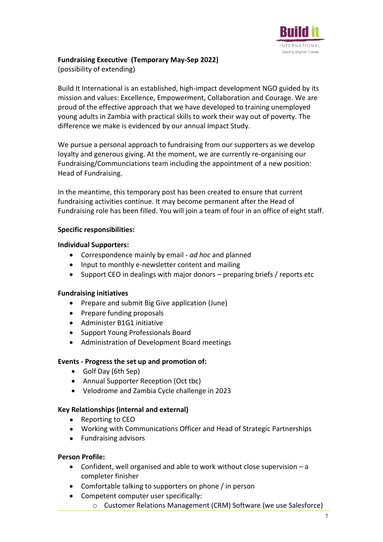

# **Fundraising Executive (Temporary May-Sep 2022)**

(possibility of extending)

Build It International is an established, high-impact development NGO guided by its mission and values: Excellence, Empowerment, Collaboration and Courage. We are proud of the effective approach that we have developed to training unemployed young adults in Zambia with practical skills to work their way out of poverty. The difference we make is evidenced by our annual Impact Study.

We pursue a personal approach to fundraising from our supporters as we develop loyalty and generous giving. At the moment, we are currently re-organising our Fundraising/Communciations team including the appointment of a new position: Head of Fundraising.

In the meantime, this temporary post has been created to ensure that current fundraising activities continue. It may become permanent after the Head of Fundraising role has been filled. You will join a team of four in an office of eight staff.

### **Specific responsibilities:**

### **Individual Supporters:**

- Correspondence mainly by email *ad hoc* and planned
- Input to monthly e-newsletter content and mailing
- Support CEO in dealings with major donors preparing briefs / reports etc

# **Fundraising initiatives**

- Prepare and submit Big Give application (June)
- Prepare funding proposals
- Administer B1G1 initiative
- Support Young Professionals Board
- Administration of Development Board meetings

# **Events - Progress the set up and promotion of:**

- Golf Day (6th Sep)
- Annual Supporter Reception (Oct tbc)
- Velodrome and Zambia Cycle challenge in 2023

# **Key Relationships (internal and external)**

- Reporting to CEO
- Working with Communications Officer and Head of Strategic Partnerships
- Fundraising advisors

# **Person Profile:**

- Confident, well organised and able to work without close supervision  $-a$ completer finisher
- Comfortable talking to supporters on phone / in person
- Competent computer user specifically:
	- o Customer Relations Management (CRM) Software (we use Salesforce)